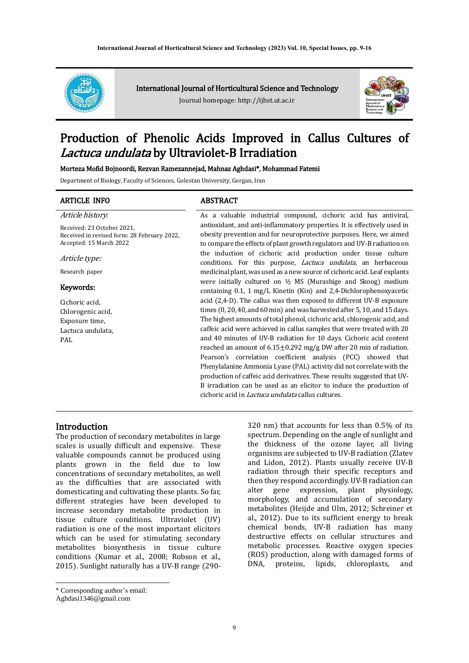

International Journal of Horticultural Science and Technology

Journal homepage: http://ijhst.ut.ac.ir



# Production of Phenolic Acids Improved in Callus Cultures of Lactuca undulata by Ultraviolet-B Irradiation

#### Morteza Mofid Bojnoordi, Rezvan Ramezannejad, Mahnaz Aghdasi\*, Mohammad Fatemi

Department of Biology, Faculty of Sciences, Golestan University, Gorgan, Iran

#### ARTICLE INFO ABSTRACT

Article history:

Received: 23 October 2021, Received in revised form: 28 February 2022, Accepted: 15 March 2022

Article type:

Research paper

#### Keywords:

Cichoric acid, Chlorogenic acid, Exposure time, Lactuca undulata, PAL

As a valuable industrial compound, cichoric acid has antiviral, antioxidant, and anti-inflammatory properties. It is effectively used in obesity prevention and for neuroprotective purposes. Here, we aimed to compare the effects of plant growth regulators and UV-B radiation on the induction of cichoric acid production under tissue culture conditions. For this purpose, *Lactuca undulata*, an herbaceous medicinal plant, was used as a new source of cichoric acid. Leaf explants were initially cultured on ½ MS (Murashige and Skoog) medium containing 0.1, 1 mg/L Kinetin (Kin) and 2,4-Dichlorophenoxyacetic acid (2,4-D). The callus was then exposed to different UV-B exposure times (0, 20, 40, and 60 min) and was harvested after 5, 10, and 15 days. The highest amounts of total phenol, cichoric acid, chlorogenic acid, and caffeic acid were achieved in callus samples that were treated with 20 and 40 minutes of UV-B radiation for 10 days. Cichoric acid content reached an amount of 6.15±0.292 mg/g DW after 20 min of radiation. Pearson's correlation coefficient analysis (PCC) showed that Phenylalanine Ammonia Lyase (PAL) activity did not correlate with the production of caffeic acid derivatives. These results suggested that UV-B irradiation can be used as an elicitor to induce the production of cichoric acid in Lactuca undulata callus cultures.

#### Introduction

The production of secondary metabolites in large scales is usually difficult and expensive. These valuable compounds cannot be produced using plants grown in the field due to low concentrations of secondary metabolites, as well as the difficulties that are associated with domesticating and cultivating these plants. So far, different strategies have been developed to increase secondary metabolite production in tissue culture conditions. Ultraviolet (UV) radiation is one of the most important elicitors which can be used for stimulating secondary metabolites biosynthesis in tissue culture conditions (Kumar et al., 2008; Robson et al., 2015). Sunlight naturally has a UV-B range (290-

Aghdasi1346@gmail.com

320 nm) that accounts for less than 0.5% of its spectrum. Depending on the angle of sunlight and the thickness of the ozone layer, all living organisms are subjected to UV-B radiation (Zlatev and Lidon, 2012). Plants usually receive UV-B radiation through their specific receptors and then they respond accordingly. UV-B radiation can alter gene expression, plant physiology, morphology, and accumulation of secondary metabolites (Heijde and Ulm, 2012; Schreiner et al., 2012). Due to its sufficient energy to break chemical bonds, UV-B radiation has many destructive effects on cellular structures and metabolic processes. Reactive oxygen species (ROS) production, along with damaged forms of DNA, proteins, lipids, chloroplasts, and

<sup>\*</sup> Corresponding author's email: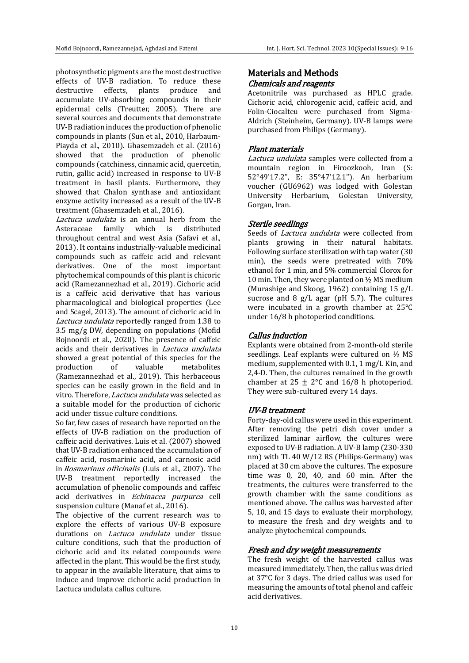photosynthetic pigments are the most destructive effects of UV-B radiation. To reduce these destructive effects, plants produce and accumulate UV-absorbing compounds in their epidermal cells (Treutter, 2005). There are several sources and documents that demonstrate UV-B radiation induces the production of phenolic compounds in plants (Sun et al., 2010, Harbaum-Piayda et al., 2010). Ghasemzadeh et al. (2016) showed that the production of phenolic compounds (catchiness, cinnamic acid, quercetin, rutin, gallic acid) increased in response to UV-B treatment in basil plants. Furthermore, they showed that Chalon synthase and antioxidant enzyme activity increased as a result of the UV-B treatment (Ghasemzadeh et al., 2016).

Lactuca undulata is an annual herb from the Asteraceae family which is distributed throughout central and west Asia (Safavi et al., 2013). It contains industrially-valuable medicinal compounds such as caffeic acid and relevant derivatives. One of the most important phytochemical compounds of this plant is chicoric acid (Ramezannezhad et al., 2019). Cichoric acid is a caffeic acid derivative that has various pharmacological and biological properties (Lee and Scagel, 2013). The amount of cichoric acid in Lactuca undulata reportedly ranged from 1.38 to 3.5 mg/g DW, depending on populations (Mofid Bojnoordi et al., 2020). The presence of caffeic acids and their derivatives in Lactuca undulata showed a great potential of this species for the production of valuable metabolites (Ramezannezhad et al., 2019). This herbaceous species can be easily grown in the field and in vitro. Therefore, Lactuca undulata was selected as a suitable model for the production of cichoric acid under tissue culture conditions.

So far, few cases of research have reported on the effects of UV-B radiation on the production of caffeic acid derivatives. Luis et al. (2007) showed that UV-B radiation enhanced the accumulation of caffeic acid, rosmarinic acid, and carnosic acid in Rosmarinus officinalis (Luis et al., 2007). The UV-B treatment reportedly increased the accumulation of phenolic compounds and caffeic acid derivatives in Echinacea purpurea cell suspension culture (Manaf et al., 2016).

The objective of the current research was to explore the effects of various UV-B exposure durations on *Lactuca undulata* under tissue culture conditions, such that the production of cichoric acid and its related compounds were affected in the plant. This would be the first study, to appear in the available literature, that aims to induce and improve cichoric acid production in Lactuca undulata callus culture.

# Materials and Methods Chemicals and reagents

Acetonitrile was purchased as HPLC grade. Cichoric acid, chlorogenic acid, caffeic acid, and Folin-Ciocalteu were purchased from Sigma-Aldrich (Steinheim, Germany). UV-B lamps were purchased from Philips (Germany).

### Plant materials

Lactuca undulata samples were collected from a mountain region in Firoozkooh, Iran (S: 52°49'17.2", E: 35°47'12.1"). An herbarium voucher (GU6962) was lodged with Golestan University Herbarium, Golestan University, Gorgan, Iran.

#### Sterile seedlings

Seeds of *Lactuca undulata* were collected from plants growing in their natural habitats. Following surface sterilization with tap water (30 min), the seeds were pretreated with 70% ethanol for 1 min, and 5% commercial Clorox for 10 min. Then, they were planted on ½ MS medium (Murashige and Skoog, 1962) containing 15 g/L sucrose and 8 g/L agar (pH 5.7). The cultures were incubated in a growth chamber at 25°C under 16/8 h photoperiod conditions.

# Callus induction

Explants were obtained from 2-month-old sterile seedlings. Leaf explants were cultured on ½ MS medium, supplemented with 0.1, 1 mg/L Kin, and 2,4-D. Then, the cultures remained in the growth chamber at  $25 \pm 2$ °C and  $16/8$  h photoperiod. They were sub-cultured every 14 days.

# UV-B treatment

Forty-day-old callus were used in this experiment. After removing the petri dish cover under a sterilized laminar airflow, the cultures were exposed to UV-B radiation. A UV-B lamp (230-330 nm) with TL 40 W/12 RS (Philips-Germany) was placed at 30 cm above the cultures. The exposure time was 0, 20, 40, and 60 min. After the treatments, the cultures were transferred to the growth chamber with the same conditions as mentioned above. The callus was harvested after 5, 10, and 15 days to evaluate their morphology, to measure the fresh and dry weights and to analyze phytochemical compounds.

# Fresh and dry weight measurements

The fresh weight of the harvested callus was measured immediately. Then, the callus was dried at 37°C for 3 days. The dried callus was used for measuring the amounts of total phenol and caffeic acid derivatives.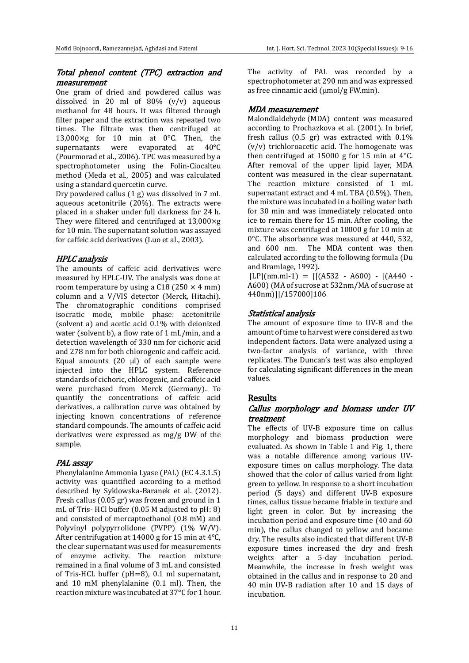### Total phenol content (TPC) extraction and measurement

One gram of dried and powdered callus was dissolved in 20 ml of  $80\%$  (v/v) aqueous methanol for 48 hours. It was filtered through filter paper and the extraction was repeated two times. The filtrate was then centrifuged at 13,000 $\times$ g for 10 min at 0 $\degree$ C. Then, the supernatants were evaporated at 40°C (Pourmorad et al., 2006). TPC was measured by a spectrophotometer using the Folin-Ciocalteu method (Meda et al., 2005) and was calculated using a standard quercetin curve.

Dry powdered callus (1 g) was dissolved in 7 mL aqueous acetonitrile (20%). The extracts were placed in a shaker under full darkness for 24 h. They were filtered and centrifuged at 13,000×g for 10 min. The supernatant solution was assayed for caffeic acid derivatives (Luo et al., 2003).

#### HPLC analysis

The amounts of caffeic acid derivatives were measured by HPLC-UV. The analysis was done at room temperature by using a C18 (250  $\times$  4 mm) column and a V/VIS detector (Merck, Hitachi). The chromatographic conditions comprised isocratic mode, mobile phase: acetonitrile (solvent a) and acetic acid 0.1% with deionized water (solvent b), a flow rate of 1 mL/min, and a detection wavelength of 330 nm for cichoric acid and 278 nm for both chlorogenic and caffeic acid. Equal amounts  $(20 \text{ µ})$  of each sample were injected into the HPLC system. Reference standards of cichoric, chlorogenic, and caffeic acid were purchased from Merck (Germany). To quantify the concentrations of caffeic acid derivatives, a calibration curve was obtained by injecting known concentrations of reference standard compounds. The amounts of caffeic acid derivatives were expressed as mg/g DW of the sample.

#### PAL assay

Phenylalanine Ammonia Lyase (PAL) (EC 4.3.1.5) activity was quantified according to a method described by Syklowska-Baranek et al. (2012). Fresh callus (0.05 gr) was frozen and ground in 1 mL of Tris- HCl buffer (0.05 M adjusted to pH: 8) and consisted of mercaptoethanol (0.8 mM) and Polyvinyl polypyrrolidone (PVPP) (1% W/V). After centrifugation at 14000 g for 15 min at  $4^{\circ}$ C. the clear supernatant was used for measurements of enzyme activity. The reaction mixture remained in a final volume of 3 mL and consisted of Tris-HCL buffer (pH=8), 0.1 ml supernatant, and 10 mM phenylalanine (0.1 ml). Then, the reaction mixture was incubated at 37°C for 1 hour.

The activity of PAL was recorded by a spectrophotometer at 290 nm and was expressed as free cinnamic acid  $(\mu \text{mol/g FW.min})$ .

## MDA measurement

Malondialdehyde (MDA) content was measured according to Prochazkova et al. (2001). In brief, fresh callus (0.5 gr) was extracted with 0.1% (v/v) trichloroacetic acid. The homogenate was then centrifuged at 15000 g for 15 min at 4°C. After removal of the upper lipid layer, MDA content was measured in the clear supernatant. The reaction mixture consisted of 1 mL supernatant extract and 4 mL TBA (0.5%). Then, the mixture was incubated in a boiling water bath for 30 min and was immediately relocated onto ice to remain there for 15 min. After cooling, the mixture was centrifuged at 10000 g for 10 min at 0°C. The absorbance was measured at 440, 532, and 600 nm. The MDA content was then calculated according to the following formula (Du and Bramlage, 1992).

 $[LP](nm.ml-1) = [[(A532 - A600) - [(A440 - A600) - A600]$ A600) (MA of sucrose at 532nm/MA of sucrose at 440nm)]]/157000]106

# Statistical analysis

The amount of exposure time to UV-B and the amount of time to harvest were considered as two independent factors. Data were analyzed using a two-factor analysis of variance, with three replicates. The Duncan's test was also employed for calculating significant differences in the mean values.

# **Results**

# Callus morphology and biomass under UV treatment

The effects of UV-B exposure time on callus morphology and biomass production were evaluated. As shown in Table 1 and Fig. 1, there was a notable difference among various UVexposure times on callus morphology. The data showed that the color of callus varied from light green to yellow. In response to a short incubation period (5 days) and different UV-B exposure times, callus tissue became friable in texture and light green in color. But by increasing the incubation period and exposure time (40 and 60 min), the callus changed to yellow and became dry. The results also indicated that different UV-B exposure times increased the dry and fresh weights after a 5-day incubation period. Meanwhile, the increase in fresh weight was obtained in the callus and in response to 20 and 40 min UV-B radiation after 10 and 15 days of incubation.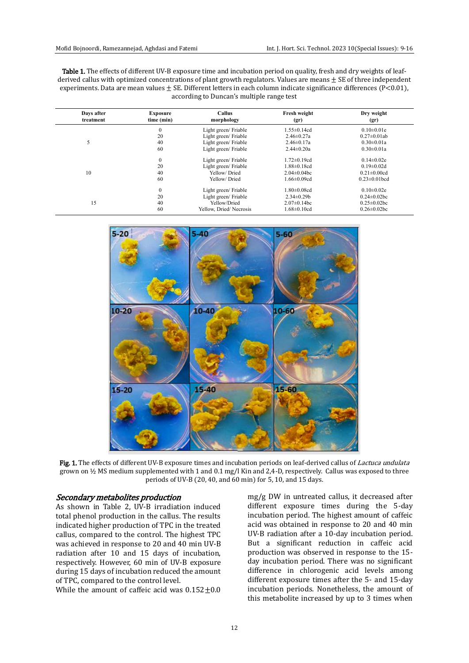| <b>Table 1.</b> The effects of different UV-B exposure time and incubation period on quality, fresh and dry weights of leaf- |
|------------------------------------------------------------------------------------------------------------------------------|
| derived callus with optimized concentrations of plant growth regulators. Values are means $\pm$ SE of three independent      |
| experiments. Data are mean values $\pm$ SE. Different letters in each column indicate significance differences (P<0.01),     |
| according to Duncan's multiple range test                                                                                    |

| Days after<br><b>Exposure</b><br>time (min)<br>treatment |                  | Callus<br>morphology   | Fresh weight<br>(gr) | Dry weight<br>(gr)  |  |
|----------------------------------------------------------|------------------|------------------------|----------------------|---------------------|--|
|                                                          | $\boldsymbol{0}$ | Light green/Friable    | $1.55 \pm 0.14$ cd   | $0.10 \pm 0.01e$    |  |
|                                                          | 20               | Light green/Friable    | $2.46 \pm 0.27a$     | $0.27 \pm 0.01$ ab  |  |
|                                                          | 40               | Light green/Friable    | $2.46 \pm 0.17a$     | $0.30 \pm 0.01a$    |  |
|                                                          | 60               | Light green/Friable    | $2.44 \pm 0.20a$     | $0.30 \pm 0.01a$    |  |
|                                                          | $\boldsymbol{0}$ | Light green/Friable    | $1.72 \pm 0.19$ cd   | $0.14 \pm 0.02e$    |  |
|                                                          | 20               | Light green/Friable    | $1.88 \pm 0.18$ cd   | $0.19 \pm 0.02$ d   |  |
| 10                                                       | 40               | Yellow/Dried           | $2.04 \pm 0.04$ bc   | $0.21 \pm 0.00$ cd  |  |
|                                                          | 60               | Yellow/Dried           | $1.66 \pm 0.09$ cd   | $0.23 \pm 0.01$ bcd |  |
|                                                          | $\theta$         | Light green/ Friable   | $1.80 \pm 0.08$ cd   | $0.10 \pm 0.02e$    |  |
|                                                          | 20               | Light green/ Friable   | $2.34 \pm 0.29$      | $0.24 \pm 0.02$ bc  |  |
| 15                                                       | 40               | Yellow/Dried           | $2.07 \pm 0.14$ bc   | $0.25 \pm 0.02$ bc  |  |
|                                                          | 60               | Yellow, Dried/Necrosis | $1.68 \pm 0.10$ cd   | $0.26 \pm 0.02$ bc  |  |



Fig. 1. The effects of different UV-B exposure times and incubation periods on leaf-derived callus of *Lactuca undulata* grown on ½ MS medium supplemented with 1 and 0.1 mg/l Kin and 2,4-D, respectively. Callus was exposed to three periods of UV-B (20, 40, and 60 min) for 5, 10, and 15 days.

#### Secondary metabolites production

As shown in Table 2, UV-B irradiation induced total phenol production in the callus. The results indicated higher production of TPC in the treated callus, compared to the control. The highest TPC was achieved in response to 20 and 40 min UV-B radiation after 10 and 15 days of incubation, respectively. However, 60 min of UV-B exposure during 15 days of incubation reduced the amount of TPC, compared to the control level.

While the amount of caffeic acid was  $0.152 \pm 0.0$ 

mg/g DW in untreated callus, it decreased after different exposure times during the 5-day incubation period. The highest amount of caffeic acid was obtained in response to 20 and 40 min UV-B radiation after a 10-day incubation period. But a significant reduction in caffeic acid production was observed in response to the 15 day incubation period. There was no significant difference in chlorogenic acid levels among different exposure times after the 5- and 15-day incubation periods. Nonetheless, the amount of this metabolite increased by up to 3 times when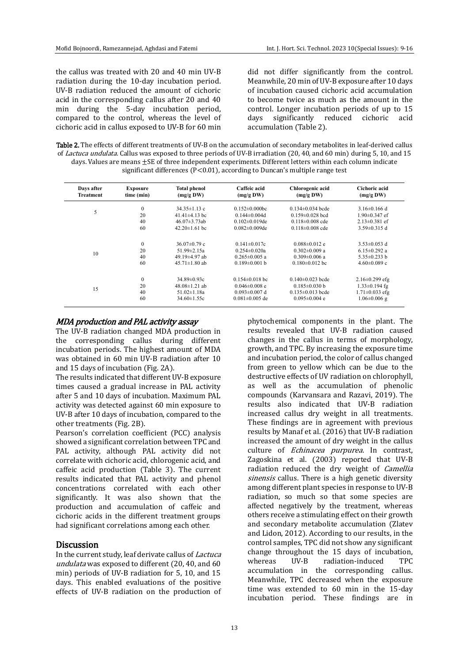the callus was treated with 20 and 40 min UV-B radiation during the 10-day incubation period. UV-B radiation reduced the amount of cichoric acid in the corresponding callus after 20 and 40 min during the 5-day incubation period, compared to the control, whereas the level of cichoric acid in callus exposed to UV-B for 60 min did not differ significantly from the control. Meanwhile, 20 min of UV-B exposure after 10 days of incubation caused cichoric acid accumulation to become twice as much as the amount in the control. Longer incubation periods of up to 15 days significantly reduced cichoric acid accumulation (Table 2).

Table 2. The effects of different treatments of UV-B on the accumulation of secondary metabolites in leaf-derived callus of Lactuca undulata. Callus was exposed to three periods of UV-B irradiation (20, 40, and 60 min) during 5, 10, and 15 days. Values are means  $\pm$  SE of three independent experiments. Different letters within each column indicate significant differences ( $P < 0.01$ ), according to Duncan's multiple range test

| Days after<br>Treatment | <b>Exposure</b><br>time (min) | <b>Total phenol</b><br>$(mg/g\,DW)$ | Caffeic acid<br>(mg/gDW) | Chlorogenic acid<br>(mg/gDW) | Cichoric acid<br>(mg/gDW) |
|-------------------------|-------------------------------|-------------------------------------|--------------------------|------------------------------|---------------------------|
|                         | $\mathbf{0}$                  | $34.35 \pm 1.13$ c                  | $0.152 \pm 0.000$ bc     | $0.134 \pm 0.034$ bcde       | $3.16\pm0.166$ d          |
| 5                       | 20                            | $41.41\pm4.13$ bc                   | $0.144 \pm 0.004$ d      | $0.159 \pm 0.028$ bcd        | $1.90 \pm 0.347$ ef       |
|                         | 40                            | $46.07\pm3.73ab$                    | $0.102\pm0.019$ de       | $0.118 \pm 0.008$ cde        | $2.13 \pm 0.381$ ef       |
|                         | 60                            | $42.20 \pm 1.61$ bc                 | $0.082\pm0.009$ de       | $0.118 \pm 0.008$ cde        | $3.59 \pm 0.315$ d        |
|                         | $\theta$                      | $36.07\pm0.79$ c                    | $0.141 \pm 0.017c$       | $0.088\pm0.012$ e            | $3.53 \pm 0.053$ d        |
|                         | 20                            | $51.99 \pm 2.15a$                   | $0.254 \pm 0.020a$       | $0.302\pm0.009$ a            | 6.15 $\pm$ 0.292 a        |
| 10                      | 40                            | 49.19±4.97 ab                       | $0.265 \pm 0.005$ a      | $0.309 \pm 0.006$ a          | $5.35 \pm 0.233$ b        |
|                         | 60                            | $45.71 \pm 1.80$ ab                 | $0.189 \pm 0.001$ b      | $0.180 \pm 0.012$ bc         | $4.60 \pm 0.089$ c        |
|                         | $\mathbf{0}$                  | $34.89 \pm 0.93c$                   | $0.154 \pm 0.018$ bc     | $0.140 \pm 0.023$ bcde       | $2.16\pm0.299$ efg        |
| 15                      | 20                            | $48.08\pm1.21$ ab                   | $0.046\pm0.008$ e        | $0.185 \pm 0.030$ b          | $1.33 \pm 0.194$ fg       |
|                         | 40                            | $51.02 \pm 1.18a$                   | $0.093 \pm 0.007$ d      | $0.135 \pm 0.013$ bcde       | $1.71 \pm 0.033$ efg      |
|                         | 60                            | $34.60 \pm 1.55c$                   | $0.081 \pm 0.005$ de     | $0.095 \pm 0.004$ e          | $1.06\pm0.006$ g          |

#### MDA production and PAL activity assay

The UV-B radiation changed MDA production in the corresponding callus during different incubation periods. The highest amount of MDA was obtained in 60 min UV-B radiation after 10 and 15 days of incubation (Fig. 2A).

The results indicated that different UV-B exposure times caused a gradual increase in PAL activity after 5 and 10 days of incubation. Maximum PAL activity was detected against 60 min exposure to UV-B after 10 days of incubation, compared to the other treatments (Fig. 2B).

Pearson's correlation coefficient (PCC) analysis showed a significant correlation between TPC and PAL activity, although PAL activity did not correlate with cichoric acid, chlorogenic acid, and caffeic acid production (Table 3). The current results indicated that PAL activity and phenol concentrations correlated with each other significantly. It was also shown that the production and accumulation of caffeic and cichoric acids in the different treatment groups had significant correlations among each other.

#### **Discussion**

In the current study, leaf derivate callus of Lactuca undulata was exposed to different (20, 40, and 60 min) periods of UV-B radiation for 5, 10, and 15 days. This enabled evaluations of the positive effects of UV-B radiation on the production of

phytochemical components in the plant. The results revealed that UV-B radiation caused changes in the callus in terms of morphology, growth, and TPC. By increasing the exposure time and incubation period, the color of callus changed from green to yellow which can be due to the destructive effects of UV radiation on chlorophyll, as well as the accumulation of phenolic compounds (Karvansara and Razavi, 2019). The results also indicated that UV-B radiation increased callus dry weight in all treatments. These findings are in agreement with previous results by Manaf et al. (2016) that UV-B radiation increased the amount of dry weight in the callus culture of Echinacea purpurea. In contrast, Zagoskina et al. (2003) reported that UV-B radiation reduced the dry weight of Camellia sinensis callus. There is a high genetic diversity among different plant species in response to UV-B radiation, so much so that some species are affected negatively by the treatment, whereas others receive a stimulating effect on their growth and secondary metabolite accumulation (Zlatev and Lidon, 2012). According to our results, in the control samples, TPC did not show any significant change throughout the 15 days of incubation, whereas UV-B radiation-induced TPC accumulation in the corresponding callus. Meanwhile, TPC decreased when the exposure time was extended to 60 min in the 15-day incubation period. These findings are in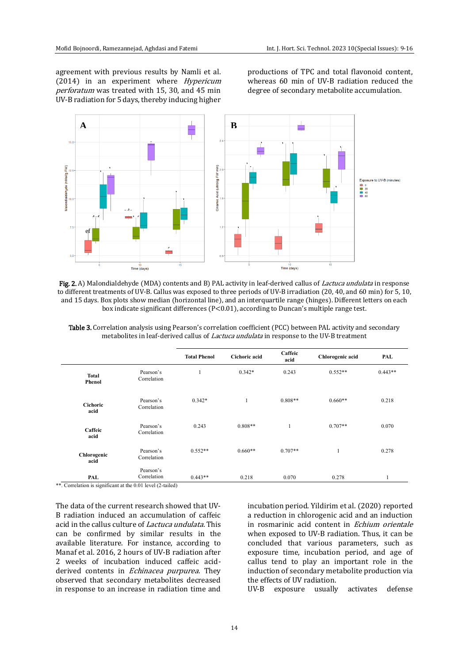agreement with previous results by Namli et al. (2014) in an experiment where Hypericum perforatum was treated with 15, 30, and 45 min UV-B radiation for 5 days, thereby inducing higher

productions of TPC and total flavonoid content, whereas 60 min of UV-B radiation reduced the degree of secondary metabolite accumulation.



Fig. 2. A) Malondialdehyde (MDA) contents and B) PAL activity in leaf-derived callus of *Lactuca undulata* in response to different treatments of UV-B. Callus was exposed to three periods of UV-B irradiation (20, 40, and 60 min) for 5, 10, and 15 days. Box plots show median (horizontal line), and an interquartile range (hinges). Different letters on each box indicate significant differences (P<0.01), according to Duncan's multiple range test.

| Table 3. Correlation analysis using Pearson's correlation coefficient (PCC) between PAL activity and secondary |
|----------------------------------------------------------------------------------------------------------------|
| metabolites in leaf-derived callus of <i>Lactuca undulata</i> in response to the UV-B treatment                |

|                         |                          | <b>Total Phenol</b> | <b>Cichoric acid</b> | Caffeic<br>acid | Chlorogenic acid | PAL       |  |  |  |
|-------------------------|--------------------------|---------------------|----------------------|-----------------|------------------|-----------|--|--|--|
| Total<br>Phenol         | Pearson's<br>Correlation | 1                   | $0.342*$             | 0.243           | $0.552**$        | $0.443**$ |  |  |  |
| <b>Cichoric</b><br>acid | Pearson's<br>Correlation | $0.342*$            | $\mathbf{1}$         | $0.808**$       | $0.660**$        | 0.218     |  |  |  |
| Caffeic<br>acid         | Pearson's<br>Correlation | 0.243               | $0.808**$            |                 | $0.707**$        | 0.070     |  |  |  |
| Chlorogenic<br>acid     | Pearson's<br>Correlation | $0.552**$           | $0.660**$            | $0.707**$       |                  | 0.278     |  |  |  |
| PAL                     | Pearson's<br>Correlation | $0.443**$           | 0.218                | 0.070           | 0.278            | 1         |  |  |  |

\*\*. Correlation is significant at the 0.01 level (2-tailed)

The data of the current research showed that UV-B radiation induced an accumulation of caffeic acid in the callus culture of Lactuca undulata. This can be confirmed by similar results in the available literature. For instance, according to Manaf et al. 2016, 2 hours of UV-B radiation after 2 weeks of incubation induced caffeic acidderived contents in *Echinacea purpurea*. They observed that secondary metabolites decreased in response to an increase in radiation time and incubation period. Yildirim et al. (2020) reported a reduction in chlorogenic acid and an induction in rosmarinic acid content in Echium orientale when exposed to UV-B radiation. Thus, it can be concluded that various parameters, such as exposure time, incubation period, and age of callus tend to play an important role in the induction of secondary metabolite production via the effects of UV radiation.

UV-B exposure usually activates defense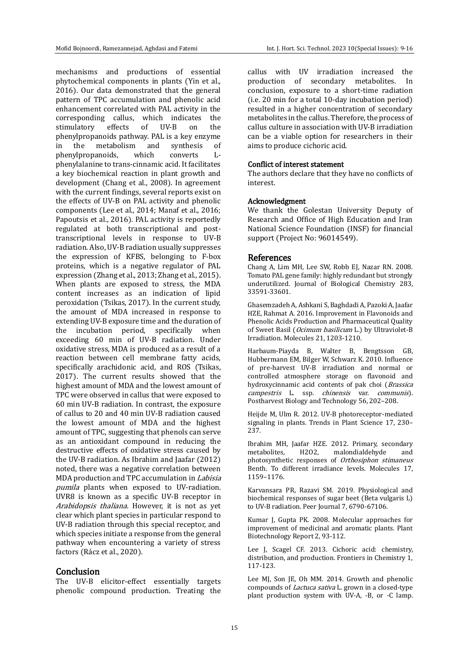mechanisms and productions of essential phytochemical components in plants (Yin et al., 2016). Our data demonstrated that the general pattern of TPC accumulation and phenolic acid enhancement correlated with PAL activity in the corresponding callus, which indicates the stimulatory effects of UV-B on the phenylpropanoids pathway. PAL is a key enzyme in the metabolism and synthesis of phenylpropanoids, which converts Lphenylalanine to trans-cinnamic acid. It facilitates a key biochemical reaction in plant growth and development (Chang et al., 2008). In agreement with the current findings, several reports exist on the effects of UV-B on PAL activity and phenolic components (Lee et al., 2014; Manaf et al., 2016; Papoutsis et al., 2016). PAL activity is reportedly regulated at both transcriptional and posttranscriptional levels in response to UV-B radiation. Also, UV-B radiation usually suppresses the expression of KFBS, belonging to F-box proteins, which is a negative regulator of PAL expression (Zhang et al., 2013; Zhang et al., 2015). When plants are exposed to stress, the MDA content increases as an indication of lipid peroxidation (Tsikas, 2017). In the current study, the amount of MDA increased in response to extending UV-B exposure time and the duration of the incubation period, specifically when exceeding 60 min of UV-B radiation. Under oxidative stress, MDA is produced as a result of a reaction between cell membrane fatty acids, specifically arachidonic acid, and ROS (Tsikas, 2017). The current results showed that the highest amount of MDA and the lowest amount of TPC were observed in callus that were exposed to 60 min UV-B radiation. In contrast, the exposure of callus to 20 and 40 min UV-B radiation caused the lowest amount of MDA and the highest amount of TPC, suggesting that phenols can serve as an antioxidant compound in reducing the destructive effects of oxidative stress caused by the UV-B radiation. As Ibrahim and Jaafar (2012) noted, there was a negative correlation between MDA production and TPC accumulation in Labisia pumila plants when exposed to UV-radiation. UVR8 is known as a specific UV-B receptor in Arabidopsis thaliana. However, it is not as yet clear which plant species in particular respond to UV-B radiation through this special receptor, and which species initiate a response from the general pathway when encountering a variety of stress factors (Rácz et al., 2020).

#### **Conclusion**

The UV-B elicitor-effect essentially targets phenolic compound production. Treating the callus with UV irradiation increased the production of secondary metabolites. In conclusion, exposure to a short-time radiation (i.e. 20 min for a total 10-day incubation period) resulted in a higher concentration of secondary metabolites in the callus. Therefore, the process of callus culture in association with UV-B irradiation can be a viable option for researchers in their aims to produce cichoric acid.

#### Conflict of interest statement

The authors declare that they have no conflicts of interest.

#### Acknowledgment

We thank the Golestan University Deputy of Research and Office of High Education and Iran National Science Foundation (INSF) for financial support (Project No: 96014549).

#### References

Chang A, Lim MH, Lee SW, Robb EJ, Nazar RN. 2008. Tomato PAL gene family: highly redundant but strongly underutilized. Journal of Biological Chemistry 283, 33591-33601.

Ghasemzadeh A, Ashkani S, Baghdadi A, Pazoki A, Jaafar HZE, Rahmat A. 2016. Improvement in Flavonoids and Phenolic Acids Production and Pharmaceutical Quality of Sweet Basil (Ocimum basilicum L.) by Ultraviolet-B Irradiation. Molecules 21, 1203-1210.

Harbaum-Piayda B, Walter B, Bengtsson GB, Hubbermann EM, Bilger W, Schwarz K. 2010. Influence of pre-harvest UV-B irradiation and normal or controlled atmosphere storage on flavonoid and hydroxycinnamic acid contents of pak choi (Brassica campestris L. ssp. chinensis var. communis). Postharvest Biology and Technology 56, 202–208.

Heijde M, Ulm R, 2012. UV-B photoreceptor-mediated signaling in plants. Trends in Plant Science 17, 230– 237.

Ibrahim MH, Jaafar HZE. 2012. Primary, secondary H2O2, malondialdehyde and photosynthetic responses of Orthosiphon stimaneus Benth. To different irradiance levels. Molecules 17, 1159–1176.

Karvansara PR, Razavi SM. 2019. Physiological and biochemical responses of sugar beet (Beta vulgaris L) to UV-B radiation. Peer Journal 7, 6790-67106.

Kumar J, Gupta PK, 2008. Molecular approaches for improvement of medicinal and aromatic plants. Plant Biotechnology Report 2, 93-112.

Lee J, Scagel CF. 2013. Cichoric acid: chemistry, distribution, and production. Frontiers in Chemistry 1, 117-123.

Lee MJ, Son JE, Oh MM. 2014. Growth and phenolic compounds of Lactuca sativa L. grown in a closed-type plant production system with UV-A, -B, or -C lamp.